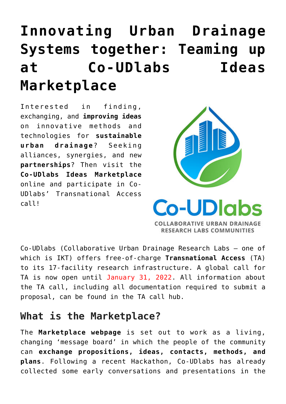# **[Innovating Urban Drainage](https://www.ikt-online.org/blog/innovating-urban-drainage-systems-together-teaming-up-at-co-udlabs-ideas-marketplace/) [Systems together: Teaming up](https://www.ikt-online.org/blog/innovating-urban-drainage-systems-together-teaming-up-at-co-udlabs-ideas-marketplace/) [at Co-UDlabs Ideas](https://www.ikt-online.org/blog/innovating-urban-drainage-systems-together-teaming-up-at-co-udlabs-ideas-marketplace/) [Marketplace](https://www.ikt-online.org/blog/innovating-urban-drainage-systems-together-teaming-up-at-co-udlabs-ideas-marketplace/)**

Interested in finding, exchanging, and **improving ideas** on innovative methods and technologies for **sustainable urban drainage**? Seeking alliances, synergies, and new **partnerships**? Then visit the **Co-UDlabs Ideas Marketplace** online and participate in Co-UDlabs' Transnational Access call!



**Co-UDIabs COLLABORATIVE URBAN DRAINAGE RESEARCH LABS COMMUNITIES** 

[Co-UDlabs](https://www.ikt-online.org/blog/innovating-the-urban-drainage-system-a-new-collaborative-approach/) (Collaborative Urban Drainage Research Labs – one of which is IKT) offers free-of-charge **Transnational Access** (TA) to its 17-facility research infrastructure. A global call for TA is now open until January 31, 2022. All information about the TA call, including all documentation required to submit a proposal, can be found in the [TA call hub.](https://co-udlabs.eu/access/ta-call/)

## **What is the Marketplace?**

The **Marketplace webpage** is set out to work as a living, changing 'message board' in which the people of the community can **exchange propositions, ideas, contacts, methods, and plans**. Following a recent [Hackathon](https://www.ikt-online.org/blog/co-udlabs-hackathon-developing-and-exploring-ideas-for-the-urban-drainage-of-tomorrow/), Co-UDlabs has already collected some early conversations and presentations in the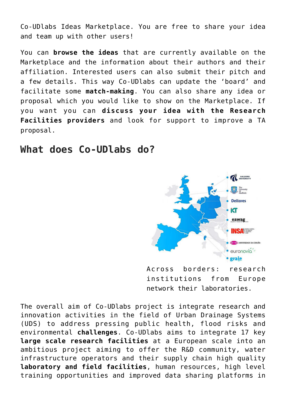[Co-UDlabs Ideas Marketplace.](https://co-udlabs.eu/access/ideas-marketplace/) You are free to share your idea and team up with other users!

You can **browse the ideas** that are currently available on the Marketplace and the information about their authors and their affiliation. Interested users can also submit their pitch and a few details. This way Co-UDlabs can update the 'board' and facilitate some **match-making**. You can also share any idea or proposal which you would like to show on the Marketplace. If you want you can **discuss your idea with the Research Facilities providers** and look for support to improve a TA proposal.

### **What does Co-UDlabs do?**



Across borders: research institutions from Europe network their laboratories.

The overall aim of Co-UDlabs project is integrate research and innovation activities in the field of Urban Drainage Systems (UDS) to address pressing public health, flood risks and environmental **challenges**. Co-UDlabs aims to integrate 17 key **large scale research facilities** at a European scale into an ambitious project aiming to offer the R&D community, water infrastructure operators and their supply chain high quality **laboratory and field facilities**, human resources, high level training opportunities and improved data sharing platforms in